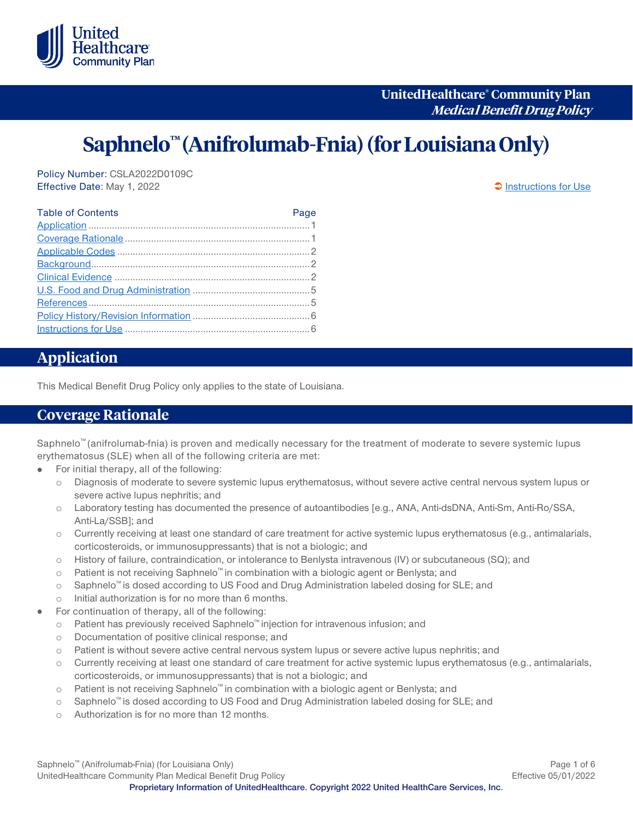

**UnitedHealthcare® Community Plan Medical Benefit Drug Policy**

# **Saphnelo™(Anifrolumab-Fnia)(for LouisianaOnly)**

Policy Number: CSLA2022D0109C Effective Date: May 1, 2022 **[Instructions for Use](#page-5-0)** extending the state of the state of the state of Use of the Superintensity of the state of the state of the state of the state of the state of the state of the state of th

| Page |
|------|
|      |
|      |
|      |
|      |
|      |
|      |
|      |
|      |
|      |
|      |

# <span id="page-0-0"></span>**Application**

This Medical Benefit Drug Policy only applies to the state of Louisiana.

### <span id="page-0-1"></span>**Coverage Rationale**

Saphnelo™ (anifrolumab-fnia) is proven and medically necessary for the treatment of moderate to severe systemic lupus erythematosus (SLE) when all of the following criteria are met:

- For initial therapy, all of the following:  $\bullet$ 
	- o Diagnosis of moderate to severe systemic lupus erythematosus, without severe active central nervous system lupus or severe active lupus nephritis; and
	- o Laboratory testing has documented the presence of autoantibodies [e.g., ANA, Anti-dsDNA, Anti-Sm, Anti-Ro/SSA, Anti-La/SSB]; and
	- o Currently receiving at least one standard of care treatment for active systemic lupus erythematosus (e.g., antimalarials, corticosteroids, or immunosuppressants) that is not a biologic; and
	- o History of failure, contraindication, or intolerance to Benlysta intravenous (IV) or subcutaneous (SQ); and
	- o Patient is not receiving Saphnelo™ in combination with a biologic agent or Benlysta; and
	- o Saphnelo™ is dosed according to US Food and Drug Administration labeled dosing for SLE; and
	- o Initial authorization is for no more than 6 months.
- For continuation of therapy, all of the following:
	- o Patient has previously received Saphnelo™ injection for intravenous infusion; and
	- o Documentation of positive clinical response; and
	- o Patient is without severe active central nervous system lupus or severe active lupus nephritis; and
	- o Currently receiving at least one standard of care treatment for active systemic lupus erythematosus (e.g., antimalarials, corticosteroids, or immunosuppressants) that is not a biologic; and
	- o Patient is not receiving Saphnelo™ in combination with a biologic agent or Benlysta; and
	- o Saphnelo™ is dosed according to US Food and Drug Administration labeled dosing for SLE; and
	- o Authorization is for no more than 12 months.

Saphnelo™ (Anifrolumab-Fnia) (for Louisiana Only) Page 1 of 6 UnitedHealthcare Community Plan Medical Benefit Drug Policy **Effective 05/01/2022** Effective 05/01/2022 **Proprietary Information of UnitedHealthcare. Copyright 2022 United HealthCare Services, Inc.**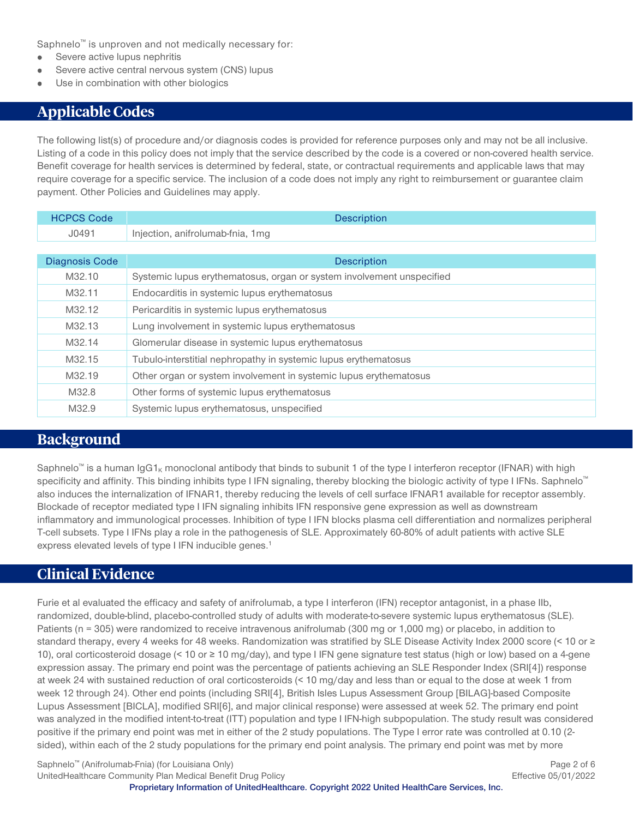Saphnelo™ is unproven and not medically necessary for:

- Severe active lupus nephritis
- Severe active central nervous system (CNS) lupus
- Use in combination with other biologics

# <span id="page-1-0"></span>**Applicable Codes**

<span id="page-1-1"></span>The following list(s) of procedure and/or diagnosis codes is provided for reference purposes only and may not be all inclusive. Listing of a code in this policy does not imply that the service described by the code is a covered or non-covered health service. Benefit coverage for health services is determined by federal, state, or contractual requirements and applicable laws that may require coverage for a specific service. The inclusion of a code does not imply any right to reimbursement or guarantee claim payment. Other Policies and Guidelines may apply.

| <b>HCPCS Code</b> | <b>Description</b>                                                    |
|-------------------|-----------------------------------------------------------------------|
| J0491             | Injection, anifrolumab-fnia, 1mg                                      |
|                   |                                                                       |
| Diagnosis Code    | <b>Description</b>                                                    |
| M32.10            | Systemic lupus erythematosus, organ or system involvement unspecified |
| M32.11            | Endocarditis in systemic lupus erythematosus                          |
| M32.12            | Pericarditis in systemic lupus erythematosus                          |
| M32.13            | Lung involvement in systemic lupus erythematosus                      |
| M32.14            | Glomerular disease in systemic lupus erythematosus                    |
| M32.15            | Tubulo-interstitial nephropathy in systemic lupus erythematosus       |
| M32.19            | Other organ or system involvement in systemic lupus erythematosus     |
| M32.8             | Other forms of systemic lupus erythematosus                           |
| M32.9             | Systemic lupus erythematosus, unspecified                             |

## **Background**

Saphnelo<sup>™</sup> is a human  $\log 1_K$  monoclonal antibody that binds to subunit 1 of the type I interferon receptor (IFNAR) with high specificity and affinity. This binding inhibits type I IFN signaling, thereby blocking the biologic activity of type I IFNs. Saphnelo™ also induces the internalization of IFNAR1, thereby reducing the levels of cell surface IFNAR1 available for receptor assembly. Blockade of receptor mediated type I IFN signaling inhibits IFN responsive gene expression as well as downstream inflammatory and immunological processes. Inhibition of type I IFN blocks plasma cell differentiation and normalizes peripheral T-cell subsets. Type I IFNs play a role in the pathogenesis of SLE. Approximately 60-80% of adult patients with active SLE express elevated levels of type I IFN inducible genes.<sup>1</sup>

## <span id="page-1-2"></span>**Clinical Evidence**

Furie et al evaluated the efficacy and safety of anifrolumab, a type I interferon (IFN) receptor antagonist, in a phase IIb, randomized, double-blind, placebo-controlled study of adults with moderate-to-severe systemic lupus erythematosus (SLE). Patients (n = 305) were randomized to receive intravenous anifrolumab (300 mg or 1,000 mg) or placebo, in addition to standard therapy, every 4 weeks for 48 weeks. Randomization was stratified by SLE Disease Activity Index 2000 score (< 10 or ≥ 10), oral corticosteroid dosage (< 10 or ≥ 10 mg/day), and type I IFN gene signature test status (high or low) based on a 4-gene expression assay. The primary end point was the percentage of patients achieving an SLE Responder Index (SRI[4]) response at week 24 with sustained reduction of oral corticosteroids (< 10 mg/day and less than or equal to the dose at week 1 from week 12 through 24). Other end points (including SRI[4], British Isles Lupus Assessment Group [BILAG]-based Composite Lupus Assessment [BICLA], modified SRI[6], and major clinical response) were assessed at week 52. The primary end point was analyzed in the modified intent-to-treat (ITT) population and type I IFN-high subpopulation. The study result was considered positive if the primary end point was met in either of the 2 study populations. The Type I error rate was controlled at 0.10 (2sided), within each of the 2 study populations for the primary end point analysis. The primary end point was met by more

Saphnelo™ (Anifrolumab-Fnia) (for Louisiana Only) Page 2 of 6 UnitedHealthcare Community Plan Medical Benefit Drug Policy **Effective 05/01/2022** Effective 05/01/2022

**Proprietary Information of UnitedHealthcare. Copyright 2022 United HealthCare Services, Inc.**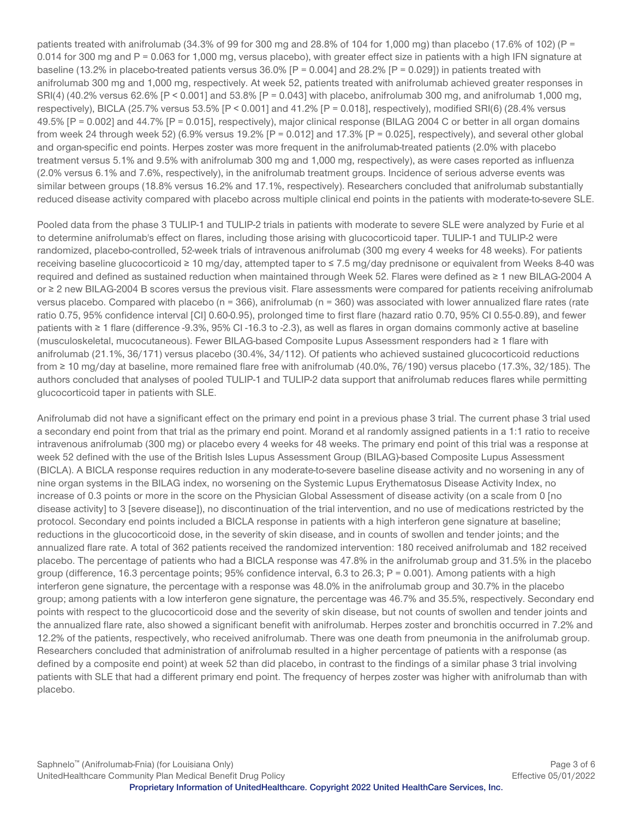patients treated with anifrolumab (34.3% of 99 for 300 mg and 28.8% of 104 for 1,000 mg) than placebo (17.6% of 102) (P = 0.014 for 300 mg and P = 0.063 for 1,000 mg, versus placebo), with greater effect size in patients with a high IFN signature at baseline (13.2% in placebo-treated patients versus 36.0% [P = 0.004] and 28.2% [P = 0.029]) in patients treated with anifrolumab 300 mg and 1,000 mg, respectively. At week 52, patients treated with anifrolumab achieved greater responses in SRI(4) (40.2% versus 62.6% [P < 0.001] and 53.8% [P = 0.043] with placebo, anifrolumab 300 mg, and anifrolumab 1,000 mg, respectively), BICLA (25.7% versus 53.5% [P < 0.001] and 41.2% [P = 0.018], respectively), modified SRI(6) (28.4% versus 49.5% [P = 0.002] and 44.7% [P = 0.015], respectively), major clinical response (BILAG 2004 C or better in all organ domains from week 24 through week 52) (6.9% versus 19.2%  $[P = 0.012]$  and 17.3%  $[P = 0.025]$ , respectively), and several other global and organ-specific end points. Herpes zoster was more frequent in the anifrolumab-treated patients (2.0% with placebo treatment versus 5.1% and 9.5% with anifrolumab 300 mg and 1,000 mg, respectively), as were cases reported as influenza (2.0% versus 6.1% and 7.6%, respectively), in the anifrolumab treatment groups. Incidence of serious adverse events was similar between groups (18.8% versus 16.2% and 17.1%, respectively). Researchers concluded that anifrolumab substantially reduced disease activity compared with placebo across multiple clinical end points in the patients with moderate-to-severe SLE.

Pooled data from the phase 3 TULIP-1 and TULIP-2 trials in patients with moderate to severe SLE were analyzed by Furie et al to determine anifrolumab's effect on flares, including those arising with glucocorticoid taper. TULIP-1 and TULIP-2 were randomized, placebo-controlled, 52-week trials of intravenous anifrolumab (300 mg every 4 weeks for 48 weeks). For patients receiving baseline glucocorticoid ≥ 10 mg/day, attempted taper to ≤ 7.5 mg/day prednisone or equivalent from Weeks 8-40 was required and defined as sustained reduction when maintained through Week 52. Flares were defined as ≥ 1 new BILAG-2004 A or ≥ 2 new BILAG-2004 B scores versus the previous visit. Flare assessments were compared for patients receiving anifrolumab versus placebo. Compared with placebo ( $n = 366$ ), anifrolumab ( $n = 360$ ) was associated with lower annualized flare rates (rate ratio 0.75, 95% confidence interval [CI] 0.60-0.95), prolonged time to first flare (hazard ratio 0.70, 95% CI 0.55-0.89), and fewer patients with ≥ 1 flare (difference -9.3%, 95% CI -16.3 to -2.3), as well as flares in organ domains commonly active at baseline (musculoskeletal, mucocutaneous). Fewer BILAG-based Composite Lupus Assessment responders had ≥ 1 flare with anifrolumab (21.1%, 36/171) versus placebo (30.4%, 34/112). Of patients who achieved sustained glucocorticoid reductions from ≥ 10 mg/day at baseline, more remained flare free with anifrolumab (40.0%, 76/190) versus placebo (17.3%, 32/185). The authors concluded that analyses of pooled TULIP-1 and TULIP-2 data support that anifrolumab reduces flares while permitting glucocorticoid taper in patients with SLE.

Anifrolumab did not have a significant effect on the primary end point in a previous phase 3 trial. The current phase 3 trial used a secondary end point from that trial as the primary end point. Morand et al randomly assigned patients in a 1:1 ratio to receive intravenous anifrolumab (300 mg) or placebo every 4 weeks for 48 weeks. The primary end point of this trial was a response at week 52 defined with the use of the British Isles Lupus Assessment Group (BILAG)-based Composite Lupus Assessment (BICLA). A BICLA response requires reduction in any moderate-to-severe baseline disease activity and no worsening in any of nine organ systems in the BILAG index, no worsening on the Systemic Lupus Erythematosus Disease Activity Index, no increase of 0.3 points or more in the score on the Physician Global Assessment of disease activity (on a scale from 0 [no disease activity] to 3 [severe disease]), no discontinuation of the trial intervention, and no use of medications restricted by the protocol. Secondary end points included a BICLA response in patients with a high interferon gene signature at baseline; reductions in the glucocorticoid dose, in the severity of skin disease, and in counts of swollen and tender joints; and the annualized flare rate. A total of 362 patients received the randomized intervention: 180 received anifrolumab and 182 received placebo. The percentage of patients who had a BICLA response was 47.8% in the anifrolumab group and 31.5% in the placebo group (difference, 16.3 percentage points; 95% confidence interval, 6.3 to 26.3; P = 0.001). Among patients with a high interferon gene signature, the percentage with a response was 48.0% in the anifrolumab group and 30.7% in the placebo group; among patients with a low interferon gene signature, the percentage was 46.7% and 35.5%, respectively. Secondary end points with respect to the glucocorticoid dose and the severity of skin disease, but not counts of swollen and tender joints and the annualized flare rate, also showed a significant benefit with anifrolumab. Herpes zoster and bronchitis occurred in 7.2% and 12.2% of the patients, respectively, who received anifrolumab. There was one death from pneumonia in the anifrolumab group. Researchers concluded that administration of anifrolumab resulted in a higher percentage of patients with a response (as defined by a composite end point) at week 52 than did placebo, in contrast to the findings of a similar phase 3 trial involving patients with SLE that had a different primary end point. The frequency of herpes zoster was higher with anifrolumab than with placebo.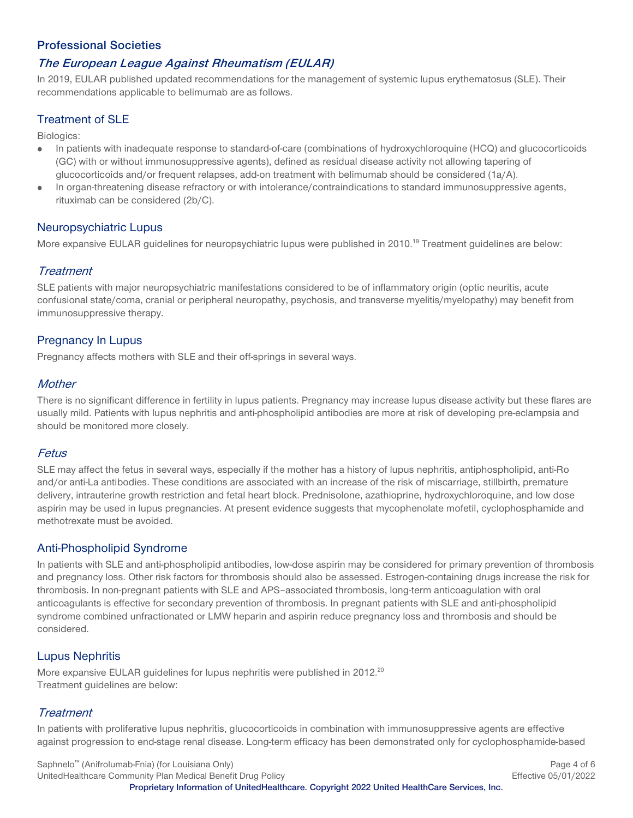#### **Professional Societies**

#### **The European League Against Rheumatism (EULAR)**

In 2019, EULAR published updated recommendations for the management of systemic lupus erythematosus (SLE). Their recommendations applicable to belimumab are as follows.

#### Treatment of SLE

Biologics:

- In patients with inadequate response to standard-of-care (combinations of hydroxychloroquine (HCQ) and glucocorticoids  $\bullet$ (GC) with or without immunosuppressive agents), defined as residual disease activity not allowing tapering of glucocorticoids and/or frequent relapses, add-on treatment with belimumab should be considered (1a/A).
- In organ-threatening disease refractory or with intolerance/contraindications to standard immunosuppressive agents, ò rituximab can be considered (2b/C).

#### Neuropsychiatric Lupus

More expansive EULAR guidelines for neuropsychiatric lupus were published in 2010.<sup>19</sup> Treatment guidelines are below:

#### **Treatment**

SLE patients with major neuropsychiatric manifestations considered to be of inflammatory origin (optic neuritis, acute confusional state/coma, cranial or peripheral neuropathy, psychosis, and transverse myelitis/myelopathy) may benefit from immunosuppressive therapy.

#### Pregnancy In Lupus

Pregnancy affects mothers with SLE and their off-springs in several ways.

#### **Mother**

There is no significant difference in fertility in lupus patients. Pregnancy may increase lupus disease activity but these flares are usually mild. Patients with lupus nephritis and anti-phospholipid antibodies are more at risk of developing pre-eclampsia and should be monitored more closely.

#### **Fetus**

SLE may affect the fetus in several ways, especially if the mother has a history of lupus nephritis, antiphospholipid, anti-Ro and/or anti-La antibodies. These conditions are associated with an increase of the risk of miscarriage, stillbirth, premature delivery, intrauterine growth restriction and fetal heart block. Prednisolone, azathioprine, hydroxychloroquine, and low dose aspirin may be used in lupus pregnancies. At present evidence suggests that mycophenolate mofetil, cyclophosphamide and methotrexate must be avoided.

#### Anti-Phospholipid Syndrome

In patients with SLE and anti-phospholipid antibodies, low-dose aspirin may be considered for primary prevention of thrombosis and pregnancy loss. Other risk factors for thrombosis should also be assessed. Estrogen-containing drugs increase the risk for thrombosis. In non-pregnant patients with SLE and APS–associated thrombosis, long-term anticoagulation with oral anticoagulants is effective for secondary prevention of thrombosis. In pregnant patients with SLE and anti-phospholipid syndrome combined unfractionated or LMW heparin and aspirin reduce pregnancy loss and thrombosis and should be considered.

#### Lupus Nephritis

More expansive EULAR guidelines for lupus nephritis were published in 2012.<sup>20</sup> Treatment guidelines are below:

#### **Treatment**

In patients with proliferative lupus nephritis, glucocorticoids in combination with immunosuppressive agents are effective against progression to end-stage renal disease. Long-term efficacy has been demonstrated only for cyclophosphamide-based

Saphnelo™ (Anifrolumab-Fnia) (for Louisiana Only) **Page 4** of 6 UnitedHealthcare Community Plan Medical Benefit Drug Policy **Effective 05/01/2022** Effective 05/01/2022

**Proprietary Information of UnitedHealthcare. Copyright 2022 United HealthCare Services, Inc.**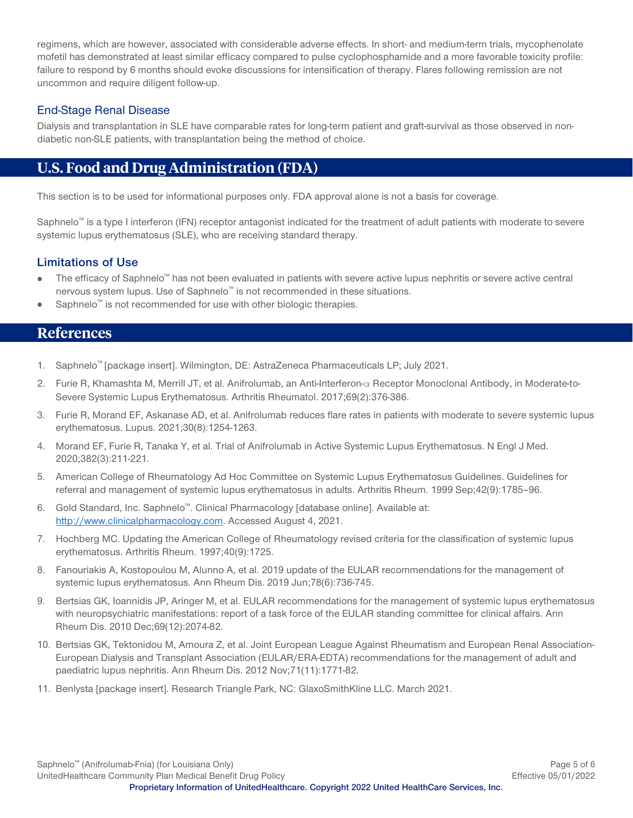regimens, which are however, associated with considerable adverse effects. In short- and medium-term trials, mycophenolate mofetil has demonstrated at least similar efficacy compared to pulse cyclophosphamide and a more favorable toxicity profile: failure to respond by 6 months should evoke discussions for intensification of therapy. Flares following remission are not uncommon and require diligent follow-up.

#### End-Stage Renal Disease

Dialysis and transplantation in SLE have comparable rates for long-term patient and graft-survival as those observed in nondiabetic non-SLE patients, with transplantation being the method of choice.

# <span id="page-4-0"></span>**U.S. Food and Drug Administration (FDA)**

This section is to be used for informational purposes only. FDA approval alone is not a basis for coverage.

Saphnelo<sup>™</sup> is a type I interferon (IFN) receptor antagonist indicated for the treatment of adult patients with moderate to severe systemic lupus erythematosus (SLE), who are receiving standard therapy.

#### **Limitations of Use**

- The efficacy of Saphnelo™ has not been evaluated in patients with severe active lupus nephritis or severe active central nervous system lupus. Use of Saphnelo™ is not recommended in these situations.
- Saphnelo<sup>™</sup> is not recommended for use with other biologic therapies.

## <span id="page-4-1"></span>**References**

- 1. Saphnelo™ [package insert]. Wilmington, DE: AstraZeneca Pharmaceuticals LP; July 2021.
- 2. Furie R, Khamashta M, Merrill JT, et al. Anifrolumab, an Anti-Interferon-α Receptor Monoclonal Antibody, in Moderate-to-Severe Systemic Lupus Erythematosus. Arthritis Rheumatol. 2017;69(2):376-386.
- 3. Furie R, Morand EF, Askanase AD, et al. Anifrolumab reduces flare rates in patients with moderate to severe systemic lupus erythematosus. Lupus. 2021;30(8):1254-1263.
- 4. Morand EF, Furie R, Tanaka Y, et al. Trial of Anifrolumab in Active Systemic Lupus Erythematosus. N Engl J Med. 2020;382(3):211-221.
- 5. American College of Rheumatology Ad Hoc Committee on Systemic Lupus Erythematosus Guidelines. Guidelines for referral and management of systemic lupus erythematosus in adults. Arthritis Rheum. 1999 Sep;42(9):1785–96.
- 6. Gold Standard, Inc. Saphnelo™. Clinical Pharmacology [database online]. Available at: [http://www.clinicalpharmacology.com.](http://www.clinicalpharmacology.com/) Accessed August 4, 2021.
- 7. Hochberg MC. Updating the American College of Rheumatology revised criteria for the classification of systemic lupus erythematosus. Arthritis Rheum. 1997;40(9):1725.
- 8. Fanouriakis A, Kostopoulou M, Alunno A, et al. 2019 update of the EULAR recommendations for the management of systemic lupus erythematosus. Ann Rheum Dis. 2019 Jun;78(6):736-745.
- 9. Bertsias GK, Ioannidis JP, Aringer M, et al. EULAR recommendations for the management of systemic lupus erythematosus with neuropsychiatric manifestations: report of a task force of the EULAR standing committee for clinical affairs. Ann Rheum Dis. 2010 Dec;69(12):2074-82.
- 10. Bertsias GK, Tektonidou M, Amoura Z, et al. Joint European League Against Rheumatism and European Renal Association-European Dialysis and Transplant Association (EULAR/ERA-EDTA) recommendations for the management of adult and paediatric lupus nephritis. Ann Rheum Dis. 2012 Nov;71(11):1771-82.
- 11. Benlysta [package insert]. Research Triangle Park, NC: GlaxoSmithKline LLC. March 2021.